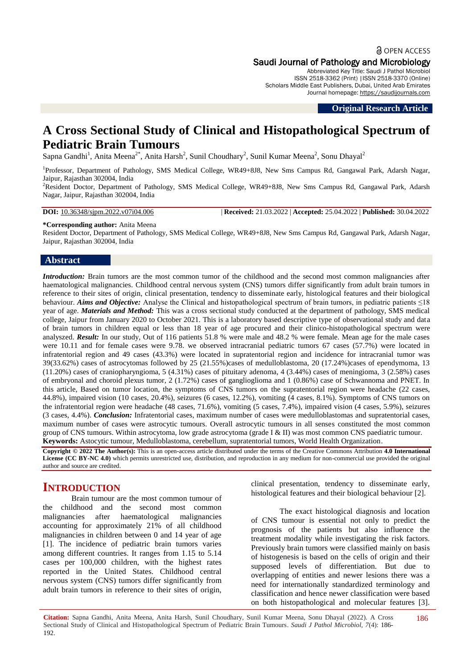## a OPEN ACCESS Saudi Journal of Pathology and Microbiology

Abbreviated Key Title: Saudi J Pathol Microbiol ISSN 2518-3362 (Print) |ISSN 2518-3370 (Online) Scholars Middle East Publishers, Dubai, United Arab Emirates Journal homepage: [https://saudijournals.com](https://saudijournals.com/sjpm)

**Original Research Article**

# **A Cross Sectional Study of Clinical and Histopathological Spectrum of Pediatric Brain Tumours**

Sapna Gandhi<sup>1</sup>, Anita Meena<sup>2\*</sup>, Anita Harsh<sup>2</sup>, Sunil Choudhary<sup>2</sup>, Sunil Kumar Meena<sup>2</sup>, Sonu Dhayal<sup>2</sup>

<sup>1</sup>Professor, Department of Pathology, SMS Medical College, WR49+8J8, New Sms Campus Rd, Gangawal Park, Adarsh Nagar, Jaipur, Rajasthan 302004, India

<sup>2</sup>Resident Doctor, Department of Pathology, SMS Medical College, WR49+8J8, New Sms Campus Rd, Gangawal Park, Adarsh Nagar, Jaipur, Rajasthan 302004, India

**DOI:** 10.36348/sjpm.2022.v07i04.006 | **Received:** 21.03.2022 | **Accepted:** 25.04.2022 | **Published:** 30.04.2022

**\*Corresponding author:** Anita Meena

Resident Doctor, Department of Pathology, SMS Medical College, WR49+8J8, New Sms Campus Rd, Gangawal Park, Adarsh Nagar, Jaipur, Rajasthan 302004, India

### **Abstract**

*Introduction:* Brain tumors are the most common tumor of the childhood and the second most common malignancies after haematological malignancies. Childhood central nervous system (CNS) tumors differ significantly from adult brain tumors in reference to their sites of origin, clinical presentation, tendency to disseminate early, histological features and their biological behaviour. *Aims and Objective:* Analyse the Clinical and histopathological spectrum of brain tumors, in pediatric patients ≤18 year of age. *Materials and Method:* This was a cross sectional study conducted at the department of pathology, SMS medical college, Jaipur from January 2020 to October 2021. This is a laboratory based descriptive type of observational study and data of brain tumors in children equal or less than 18 year of age procured and their clinico-histopathological spectrum were analyszed. *Result:* In our study, Out of 116 patients 51.8 % were male and 48.2 % were female. Mean age for the male cases were 10.11 and for female cases were 9.78, we observed intracranial pediatric tumors 67 cases (57.7%) were located in infratentorial region and 49 cases (43.3%) were located in supratentorial region and incidence for intracranial tumor was 39(33.62%) cases of astrocytomas followed by 25 (21.55%)cases of medulloblastoma, 20 (17.24%)cases of ependymoma, 13 (11.20%) cases of craniopharyngioma, 5 (4.31%) cases of pituitary adenoma, 4 (3.44%) cases of meningioma, 3 (2.58%) cases of embryonal and choroid plexus tumor, 2 (1.72%) cases of ganglioglioma and 1 (0.86%) case of Schwannoma and PNET. In this article, Based on tumor location, the symptoms of CNS tumors on the supratentorial region were headache (22 cases, 44.8%), impaired vision (10 cases, 20.4%), seizures (6 cases, 12.2%), vomiting (4 cases, 8.1%). Symptoms of CNS tumors on the infratentorial region were headache (48 cases, 71.6%), vomiting (5 cases, 7.4%), impaired vision (4 cases, 5.9%), seizures (3 cases, 4.4%). *Conclusion:* Infratentorial cases, maximum number of cases were medulloblastomas and supratentorial cases, maximum number of cases were astrocytic tumours. Overall astrocytic tumours in all senses constituted the most common group of CNS tumours. Within astrocytoma, low grade astrocytoma (grade I & II) was most common CNS paediatric tumour. **Keywords:** Astocytic tumour, Medulloblastoma, cerebellum, supratentorial tumors, World Health Organization.

**Copyright © 2022 The Author(s):** This is an open-access article distributed under the terms of the Creative Commons Attribution **4.0 International License (CC BY-NC 4.0)** which permits unrestricted use, distribution, and reproduction in any medium for non-commercial use provided the original author and source are credited.

## **INTRODUCTION**

Brain tumour are the most common tumour of the childhood and the second most common malignancies after haematological malignancies accounting for approximately 21% of all childhood malignancies in children between 0 and 14 year of age [1]. The incidence of pediatric brain tumors varies among different countries. It ranges from 1.15 to 5.14 cases per 100,000 children, with the highest rates reported in the United States. Childhood central nervous system (CNS) tumors differ significantly from adult brain tumors in reference to their sites of origin,

clinical presentation, tendency to disseminate early, histological features and their biological behaviour [2].

The exact histological diagnosis and location of CNS tumour is essential not only to predict the prognosis of the patients but also influence the treatment modality while investigating the risk factors. Previously brain tumors were classified mainly on basis of histogenesis is based on the cells of origin and their supposed levels of differentiation. But due to overlapping of entities and newer lesions there was a need for internationally standardized terminology and classification and hence newer classification were based on both histopathological and molecular features [3].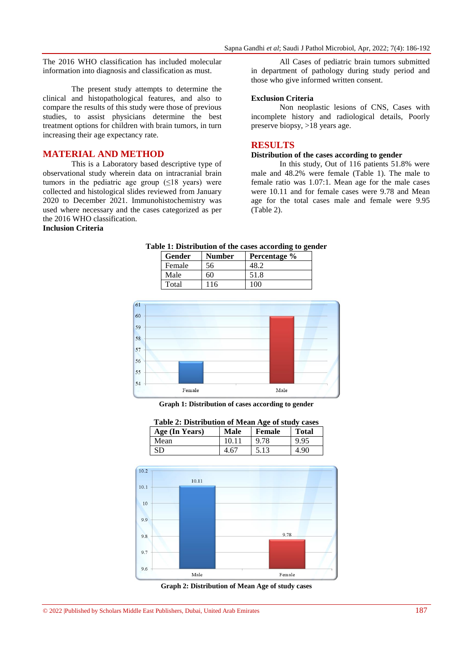The 2016 WHO classification has included molecular information into diagnosis and classification as must.

The present study attempts to determine the clinical and histopathological features, and also to compare the results of this study were those of previous studies, to assist physicians determine the best treatment options for children with brain tumors, in turn increasing their age expectancy rate.

## **MATERIAL AND METHOD**

This is a Laboratory based descriptive type of observational study wherein data on intracranial brain tumors in the pediatric age group  $(\leq 18$  years) were collected and histological slides reviewed from January 2020 to December 2021. Immunohistochemistry was used where necessary and the cases categorized as per the 2016 WHO classification.

## **Inclusion Criteria**

All Cases of pediatric brain tumors submitted in department of pathology during study period and those who give informed written consent.

#### **Exclusion Criteria**

Non neoplastic lesions of CNS, Cases with incomplete history and radiological details, Poorly preserve biopsy, >18 years age.

## **RESULTS**

#### **Distribution of the cases according to gender**

In this study, Out of 116 patients 51.8% were male and 48.2% were female (Table 1). The male to female ratio was 1.07:1. Mean age for the male cases were 10.11 and for female cases were 9.78 and Mean age for the total cases male and female were 9.95 (Table 2).

#### **Table 1: Distribution of the cases according to gender**

| Gender | <b>Number</b> | Percentage % |
|--------|---------------|--------------|
| Female | 56            |              |
| Male   | 60            | 51.8         |
| Total  | 116           | 100          |



**Graph 1: Distribution of cases according to gender**

| Table 2: Distribution of Mean Age of study cases |       |        |              |
|--------------------------------------------------|-------|--------|--------------|
| Age (In Years)                                   | Male  | Female | <b>Total</b> |
| Mean                                             | 10.11 | 9.78   | 9.95         |
| SD                                               | 4.67  | 5.13   | 4.90         |
|                                                  |       |        |              |





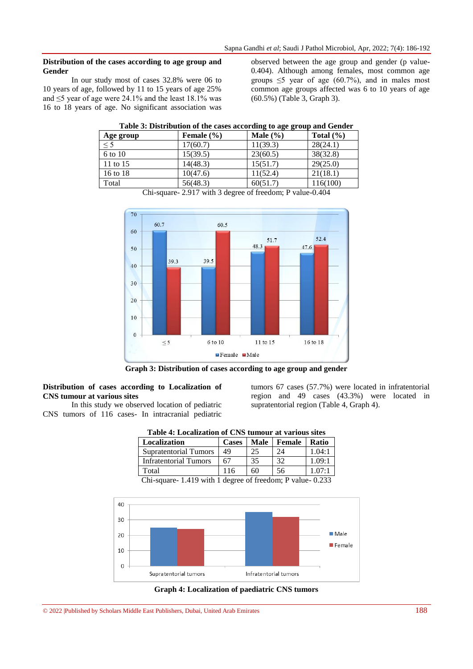#### **Distribution of the cases according to age group and Gender**

In our study most of cases 32.8% were 06 to 10 years of age, followed by 11 to 15 years of age 25% and ≤5 year of age were 24.1% and the least 18.1% was 16 to 18 years of age. No significant association was

observed between the age group and gender (p value-0.404). Although among females, most common age groups  $\leq 5$  year of age (60.7%), and in males most common age groups affected was 6 to 10 years of age (60.5%) (Table 3, Graph 3).

|           |                | ---------    |               |
|-----------|----------------|--------------|---------------|
| Age group | Female $(\% )$ | Male $(\% )$ | Total $(\% )$ |
| $\leq 5$  | 17(60.7)       | 11(39.3)     | 28(24.1)      |
| 6 to 10   | 15(39.5)       | 23(60.5)     | 38(32.8)      |
| 11 to 15  | 14(48.3)       | 15(51.7)     | 29(25.0)      |
| 16 to 18  | 10(47.6)       | 11(52.4)     | 21(18.1)      |
| Total     | 56(48.3)       | 60(51.7)     | 116(100)      |

| Chi-square- 2.917 with 3 degree of freedom; P value-0.404 |  |  |  |
|-----------------------------------------------------------|--|--|--|
|-----------------------------------------------------------|--|--|--|



**Graph 3: Distribution of cases according to age group and gender**

## **Distribution of cases according to Localization of CNS tumour at various sites**

In this study we observed location of pediatric CNS tumors of 116 cases- In intracranial pediatric tumors 67 cases (57.7%) were located in infratentorial region and 49 cases (43.3%) were located in supratentorial region (Table 4, Graph 4).

| Table 4: Localization of CNS tumour at various sites |              |               |        |                      |
|------------------------------------------------------|--------------|---------------|--------|----------------------|
| Localization                                         | <b>Cases</b> | Male          | Female | <b>Ratio</b>         |
| <b>Supratentorial Tumors</b>                         | 49           | 25            | 24     | 1.04:1               |
| Infratentorial Tumors                                | 67           | 35            | 32     | 1.09:1               |
| Total                                                | 116          | 60            | 56     | 1.07:1               |
| ---<br>.                                             | .            | $\sim$ $\sim$ |        | $\sim$ $\sim$ $\sim$ |

Chi-square- 1.419 with 1 degree of freedom; P value- 0.233



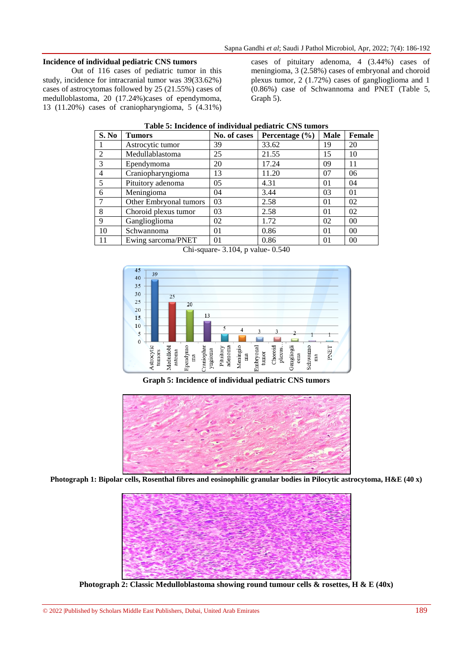#### **Incidence of individual pediatric CNS tumors**

Out of 116 cases of pediatric tumor in this study, incidence for intracranial tumor was 39(33.62%) cases of astrocytomas followed by 25 (21.55%) cases of medulloblastoma, 20 (17.24%)cases of ependymoma, 13 (11.20%) cases of craniopharyngioma, 5 (4.31%)

cases of pituitary adenoma, 4 (3.44%) cases of meningioma, 3 (2.58%) cases of embryonal and choroid plexus tumor, 2 (1.72%) cases of ganglioglioma and 1 (0.86%) case of Schwannoma and PNET (Table 5, Graph 5).

| S. No                       | Tumors                 | No. of cases   | Percentage $(\% )$ | <b>Male</b> | Female         |
|-----------------------------|------------------------|----------------|--------------------|-------------|----------------|
|                             | Astrocytic tumor       | 39             | 33.62              | 19          | 20             |
| $\mathcal{D}_{\mathcal{A}}$ | Medullablastoma        | 25             | 21.55              | 15          | 10             |
| 3                           | Ependymoma             | 20             | 17.24              | 09          | 11             |
| $\overline{4}$              | Craniopharyngioma      | 13             | 11.20              | 07          | 06             |
| 5                           | Pituitory adenoma      | 05             | 4.31               | 01          | 04             |
| 6                           | Meningioma             | 04             | 3.44               | 03          | 01             |
|                             | Other Embryonal tumors | 03             | 2.58               | 01          | 02             |
| 8                           | Choroid plexus tumor   | 03             | 2.58               | 01          | 02             |
| 9                           | Ganglioglioma          | 02             | 1.72               | 02          | 0 <sup>0</sup> |
| 10                          | Schwannoma             | 01             | 0.86               | 01          | 0 <sup>0</sup> |
| 11                          | Ewing sarcoma/PNET     | 0 <sub>1</sub> | 0.86               | 01          | 0 <sup>0</sup> |

| Table 5: Incidence of individual pediatric CNS tumors |  |  |
|-------------------------------------------------------|--|--|
|                                                       |  |  |

Chi-square- 3.104, p value- 0.540



**Graph 5: Incidence of individual pediatric CNS tumors**



**Photograph 1: Bipolar cells, Rosenthal fibres and eosinophilic granular bodies in Pilocytic astrocytoma, H&E (40 x)**



**Photograph 2: Classic Medulloblastoma showing round tumour cells & rosettes, H & E (40x)**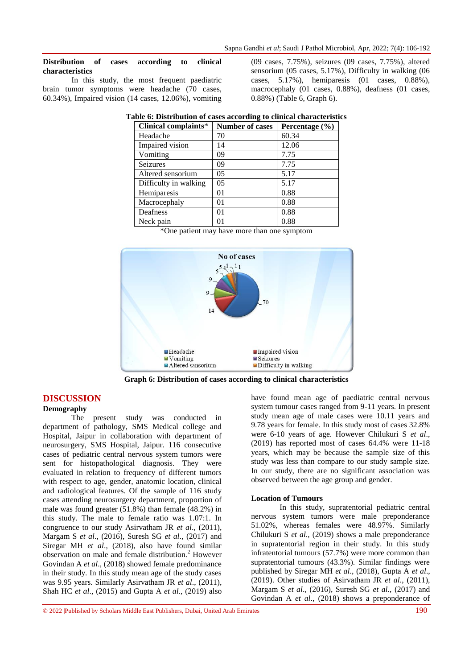#### **Distribution of cases according to clinical characteristics**

In this study, the most frequent paediatric brain tumor symptoms were headache (70 cases, 60.34%), Impaired vision (14 cases, 12.06%), vomiting

(09 cases, 7.75%), seizures (09 cases, 7.75%), altered sensorium (05 cases, 5.17%), Difficulty in walking (06 cases, 5.17%), hemiparesis (01 cases, 0.88%), macrocephaly (01 cases, 0.88%), deafness (01 cases, 0.88%) (Table 6, Graph 6).

| Clinical complaints*  | <b>Number of cases</b> | Percentage $(\% )$ |
|-----------------------|------------------------|--------------------|
| Headache              | 70                     | 60.34              |
| Impaired vision       | 14                     | 12.06              |
| Vomiting              | 09                     | 7.75               |
| Seizures              | 09                     | 7.75               |
| Altered sensorium     | 0 <sub>5</sub>         | 5.17               |
| Difficulty in walking | 0 <sub>5</sub>         | 5.17               |
| Hemiparesis           | 01                     | 0.88               |
| Macrocephaly          | 01                     | 0.88               |
| Deafness              | 01                     | 0.88               |
| Neck pain             | 01                     | 0.88               |

| Table 6: Distribution of cases according to clinical characteristics |
|----------------------------------------------------------------------|
|----------------------------------------------------------------------|

\*One patient may have more than one symptom



**Graph 6: Distribution of cases according to clinical characteristics**

## **DISCUSSION**

#### **Demography**

The present study was conducted in department of pathology, SMS Medical college and Hospital, Jaipur in collaboration with department of neurosurgery, SMS Hospital, Jaipur. 116 consecutive cases of pediatric central nervous system tumors were sent for histopathological diagnosis. They were evaluated in relation to frequency of different tumors with respect to age, gender, anatomic location, clinical and radiological features. Of the sample of 116 study cases attending neurosurgery department, proportion of male was found greater (51.8%) than female (48.2%) in this study. The male to female ratio was 1.07:1. In congruence to our study Asirvatham JR *et al*., (2011), Margam S *et al*., (2016), Suresh SG *et al*., (2017) and Siregar MH *et al*., (2018), also have found similar observation on male and female distribution.<sup>2</sup> However Govindan A *et al*., (2018) showed female predominance in their study. In this study mean age of the study cases was 9.95 years. Similarly Asirvatham JR *et al*., (2011), Shah HC *et al*., (2015) and Gupta A *et al*., (2019) also

have found mean age of paediatric central nervous system tumour cases ranged from 9-11 years. In present study mean age of male cases were 10.11 years and 9.78 years for female. In this study most of cases 32.8% were 6-10 years of age. However Chilukuri S *et al*., (2019) has reported most of cases 64.4% were 11-18 years, which may be because the sample size of this study was less than compare to our study sample size. In our study, there are no significant association was observed between the age group and gender.

#### **Location of Tumours**

In this study, supratentorial pediatric central nervous system tumors were male preponderance 51.02%, whereas females were 48.97%. Similarly Chilukuri S *et al*., (2019) shows a male preponderance in supratentorial region in their study. In this study infratentorial tumours (57.7%) were more common than supratentorial tumours (43.3%). Similar findings were published by Siregar MH *et al*., (2018), Gupta A *et al*., (2019). Other studies of Asirvatham JR *et al*., (2011), Margam S *et al*., (2016), Suresh SG *et al*., (2017) and Govindan A *et al*., (2018) shows a preponderance of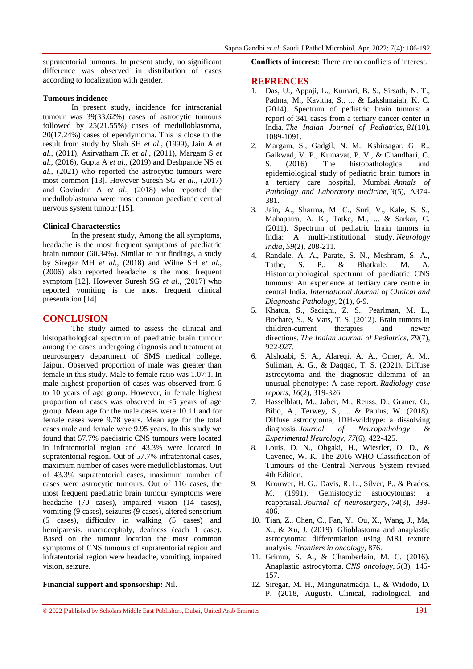supratentorial tumours. In present study, no significant difference was observed in distribution of cases according to localization with gender.

#### **Tumours incidence**

In present study, incidence for intracranial tumour was 39(33.62%) cases of astrocytic tumours followed by 25(21.55%) cases of medulloblastoma, 20(17.24%) cases of ependymoma. This is close to the result from study by Shah SH *et al*., (1999), Jain A *et al*., (2011), Asirvatham JR *et al*., (2011), Margam S *et al*., (2016), Gupta A *et al*., (2019) and Deshpande NS *et al*., (2021) who reported the astrocytic tumours were most common [13]. However Suresh SG *et al*., (2017) and Govindan A *et al*., (2018) who reported the medulloblastoma were most common paediatric central nervous system tumour [15].

#### **Clinical Characterstics**

In the present study, Among the all symptoms, headache is the most frequent symptoms of paediatric brain tumour (60.34%). Similar to our findings, a study by Siregar MH *et al*., (2018) and Wilne SH *et al*., (2006) also reported headache is the most frequent symptom [12]. However Suresh SG *et al*., (2017) who reported vomiting is the most frequent clinical presentation [14].

#### **CONCLUSION**

The study aimed to assess the clinical and histopathological spectrum of paediatric brain tumour among the cases undergoing diagnosis and treatment at neurosurgery department of SMS medical college, Jaipur. Observed proportion of male was greater than female in this study. Male to female ratio was 1.07:1. In male highest proportion of cases was observed from 6 to 10 years of age group. However, in female highest proportion of cases was observed in  $\leq$  years of age group. Mean age for the male cases were 10.11 and for female cases were 9.78 years. Mean age for the total cases male and female were 9.95 years. In this study we found that 57.7% paediatric CNS tumours were located in infratentorial region and 43.3% were located in supratentorial region. Out of 57.7% infratentorial cases, maximum number of cases were medulloblastomas. Out of 43.3% supratentorial cases, maximum number of cases were astrocytic tumours. Out of 116 cases, the most frequent paediatric brain tumour symptoms were headache (70 cases), impaired vision (14 cases), vomiting (9 cases), seizures (9 cases), altered sensorium (5 cases), difficulty in walking (5 cases) and hemiparesis, macrocephaly, deafness (each 1 case). Based on the tumour location the most common symptoms of CNS tumours of supratentorial region and infratentorial region were headache, vomiting, impaired vision, seizure.

#### **Financial support and sponsorship:** Nil.

**Conflicts of interest**: There are no conflicts of interest.

#### **REFRENCES**

- 1. Das, U., Appaji, L., Kumari, B. S., Sirsath, N. T., Padma, M., Kavitha, S., ... & Lakshmaiah, K. C. (2014). Spectrum of pediatric brain tumors: a report of 341 cases from a tertiary cancer center in India. *The Indian Journal of Pediatrics*, *81*(10), 1089-1091.
- 2. Margam, S., Gadgil, N. M., Kshirsagar, G. R., Gaikwad, V. P., Kumavat, P. V., & Chaudhari, C. S. (2016). The histopathological and epidemiological study of pediatric brain tumors in a tertiary care hospital, Mumbai. *Annals of Pathology and Laboratory medicine*, *3*(5), A374- 381.
- 3. Jain, A., Sharma, M. C., Suri, V., Kale, S. S., Mahapatra, A. K., Tatke, M., ... & Sarkar, C. (2011). Spectrum of pediatric brain tumors in India: A multi-institutional study. *Neurology India*, *59*(2), 208-211.
- 4. Randale, A. A., Parate, S. N., Meshram, S. A., Tathe, S. P., & Bhatkule, M. A. Histomorphological spectrum of paediatric CNS tumours: An experience at tertiary care centre in central India. *International Journal of Clinical and Diagnostic Pathology*, 2(1), 6-9.
- 5. Khatua, S., Sadighi, Z. S., Pearlman, M. L., Bochare, S., & Vats, T. S. (2012). Brain tumors in children-current therapies and newer directions. *The Indian Journal of Pediatrics*, *79*(7), 922-927.
- 6. Alshoabi, S. A., Alareqi, A. A., Omer, A. M., Suliman, A. G., & Daqqaq, T. S. (2021). Diffuse astrocytoma and the diagnostic dilemma of an unusual phenotype: A case report. *Radiology case reports*, *16*(2), 319-326.
- 7. Hasselblatt, M., Jaber, M., Reuss, D., Grauer, O., Bibo, A., Terwey, S., ... & Paulus, W. (2018). Diffuse astrocytoma, IDH-wildtype: a dissolving diagnosis. *Journal of Neuropathology & Experimental Neurology*, *77*(6), 422-425.
- 8. Louis, D. N., Ohgaki, H., Wiestler, O. D., & Cavenee, W. K. The 2016 WHO Classification of Tumours of the Central Nervous System revised 4th Edition.
- 9. Krouwer, H. G., Davis, R. L., Silver, P., & Prados, M. (1991). Gemistocytic astrocytomas: a reappraisal. *Journal of neurosurgery*, *74*(3), 399- 406.
- 10. Tian, Z., Chen, C., Fan, Y., Ou, X., Wang, J., Ma, X., & Xu, J. (2019). Glioblastoma and anaplastic astrocytoma: differentiation using MRI texture analysis. *Frontiers in oncology*, 876.
- 11. Grimm, S. A., & Chamberlain, M. C. (2016). Anaplastic astrocytoma. *CNS oncology*, *5*(3), 145- 157.
- 12. Siregar, M. H., Mangunatmadja, I., & Widodo, D. P. (2018, August). Clinical, radiological, and